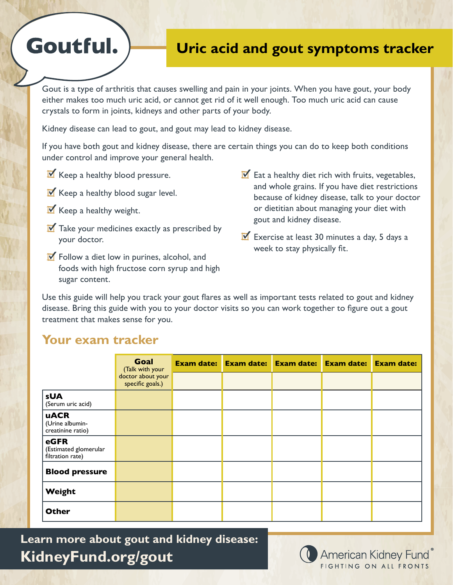## **Uric acid and gout symptoms tracker**

Gout is a type of arthritis that causes swelling and pain in your joints. When you have gout, your body either makes too much uric acid, or cannot get rid of it well enough. Too much uric acid can cause crystals to form in joints, kidneys and other parts of your body.

Kidney disease can lead to gout, and gout may lead to kidney disease.

If you have both gout and kidney disease, there are certain things you can do to keep both conditions under control and improve your general health.

- $\mathbf{\nabla}$  Keep a healthy blood pressure.
- $\mathbf{\nabla}$  Keep a healthy blood sugar level.
- $\mathbf{\nabla}$  Keep a healthy weight.

Goutful.

- $\overline{M}$  Take your medicines exactly as prescribed by your doctor.
- $\triangleright$  Follow a diet low in purines, alcohol, and foods with high fructose corn syrup and high sugar content.
- $\triangleright$  Eat a healthy diet rich with fruits, vegetables, and whole grains. If you have diet restrictions because of kidney disease, talk to your doctor or dietitian about managing your diet with gout and kidney disease.
- $\overline{\mathbf{Y}}$  Exercise at least 30 minutes a day, 5 days a week to stay physically fit.

Use this guide will help you track your gout flares as well as important tests related to gout and kidney disease. Bring this guide with you to your doctor visits so you can work together to figure out a gout treatment that makes sense for you.

## **Your exam tracker**

|                                                     | <b>Goal</b><br>(Talk with your<br>doctor about your<br>specific goals.) | <b>Exam date:</b> | <b>Exam date:</b> | <b>Exam date:</b> | <b>Exam date:</b> | <b>Exam date:</b> |
|-----------------------------------------------------|-------------------------------------------------------------------------|-------------------|-------------------|-------------------|-------------------|-------------------|
|                                                     |                                                                         |                   |                   |                   |                   |                   |
| <b>sUA</b><br>(Serum uric acid)                     |                                                                         |                   |                   |                   |                   |                   |
| <b>uACR</b><br>(Urine albumin-<br>creatinine ratio) |                                                                         |                   |                   |                   |                   |                   |
| eGFR<br>(Estimated glomerular<br>filtration rate)   |                                                                         |                   |                   |                   |                   |                   |
| <b>Blood pressure</b>                               |                                                                         |                   |                   |                   |                   |                   |
| Weight                                              |                                                                         |                   |                   |                   |                   |                   |
| <b>Other</b>                                        |                                                                         |                   |                   |                   |                   |                   |

**Learn more about gout and kidney disease: KidneyFund.org/gout**